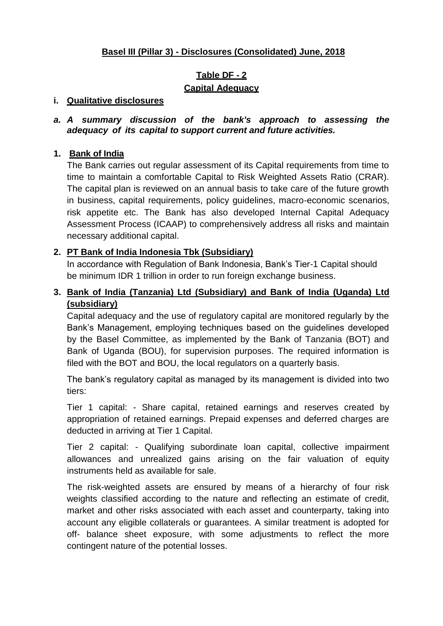# **Basel III (Pillar 3) - Disclosures (Consolidated) June, 2018**

# **Table DF - 2 Capital Adequacy**

#### **i. Qualitative disclosures**

#### *a. A summary discussion of the bank's approach to assessing the adequacy of its capital to support current and future activities.*

#### **1. Bank of India**

The Bank carries out regular assessment of its Capital requirements from time to time to maintain a comfortable Capital to Risk Weighted Assets Ratio (CRAR). The capital plan is reviewed on an annual basis to take care of the future growth in business, capital requirements, policy guidelines, macro-economic scenarios, risk appetite etc. The Bank has also developed Internal Capital Adequacy Assessment Process (ICAAP) to comprehensively address all risks and maintain necessary additional capital.

#### **2. PT Bank of India Indonesia Tbk (Subsidiary)**

In accordance with Regulation of Bank Indonesia, Bank's Tier-1 Capital should be minimum IDR 1 trillion in order to run foreign exchange business.

# **3. Bank of India (Tanzania) Ltd (Subsidiary) and Bank of India (Uganda) Ltd (subsidiary)**

Capital adequacy and the use of regulatory capital are monitored regularly by the Bank's Management, employing techniques based on the guidelines developed by the Basel Committee, as implemented by the Bank of Tanzania (BOT) and Bank of Uganda (BOU), for supervision purposes. The required information is filed with the BOT and BOU, the local regulators on a quarterly basis.

The bank's regulatory capital as managed by its management is divided into two tiers:

Tier 1 capital: - Share capital, retained earnings and reserves created by appropriation of retained earnings. Prepaid expenses and deferred charges are deducted in arriving at Tier 1 Capital.

Tier 2 capital: - Qualifying subordinate loan capital, collective impairment allowances and unrealized gains arising on the fair valuation of equity instruments held as available for sale.

The risk-weighted assets are ensured by means of a hierarchy of four risk weights classified according to the nature and reflecting an estimate of credit, market and other risks associated with each asset and counterparty, taking into account any eligible collaterals or guarantees. A similar treatment is adopted for off- balance sheet exposure, with some adjustments to reflect the more contingent nature of the potential losses.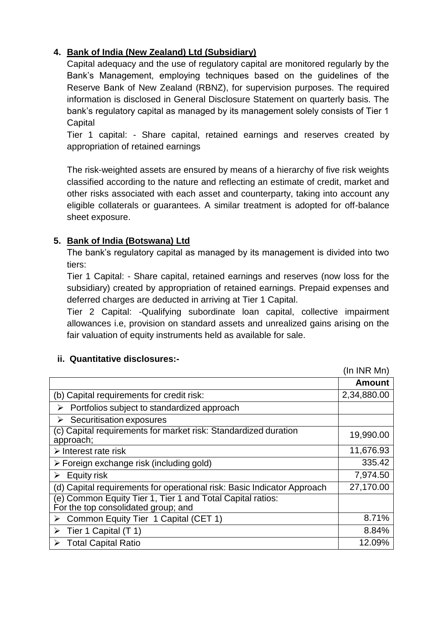# **4. Bank of India (New Zealand) Ltd (Subsidiary)**

Capital adequacy and the use of regulatory capital are monitored regularly by the Bank's Management, employing techniques based on the guidelines of the Reserve Bank of New Zealand (RBNZ), for supervision purposes. The required information is disclosed in General Disclosure Statement on quarterly basis. The bank's regulatory capital as managed by its management solely consists of Tier 1 **Capital** 

Tier 1 capital: - Share capital, retained earnings and reserves created by appropriation of retained earnings

The risk-weighted assets are ensured by means of a hierarchy of five risk weights classified according to the nature and reflecting an estimate of credit, market and other risks associated with each asset and counterparty, taking into account any eligible collaterals or guarantees. A similar treatment is adopted for off-balance sheet exposure.

# **5. Bank of India (Botswana) Ltd**

The bank's regulatory capital as managed by its management is divided into two tiers:

Tier 1 Capital: - Share capital, retained earnings and reserves (now loss for the subsidiary) created by appropriation of retained earnings. Prepaid expenses and deferred charges are deducted in arriving at Tier 1 Capital.

Tier 2 Capital: -Qualifying subordinate loan capital, collective impairment allowances i.e, provision on standard assets and unrealized gains arising on the fair valuation of equity instruments held as available for sale.

|                                                                                                   | (In INR Mn)   |
|---------------------------------------------------------------------------------------------------|---------------|
|                                                                                                   | <b>Amount</b> |
| (b) Capital requirements for credit risk:                                                         | 2,34,880.00   |
| Portfolios subject to standardized approach<br>⋗                                                  |               |
| Securitisation exposures                                                                          |               |
| (c) Capital requirements for market risk: Standardized duration<br>approach;                      | 19,990.00     |
| $\triangleright$ Interest rate risk                                                               | 11,676.93     |
| $\triangleright$ Foreign exchange risk (including gold)                                           | 335.42        |
| $\triangleright$ Equity risk                                                                      | 7,974.50      |
| (d) Capital requirements for operational risk: Basic Indicator Approach                           | 27,170.00     |
| (e) Common Equity Tier 1, Tier 1 and Total Capital ratios:<br>For the top consolidated group; and |               |
| Common Equity Tier 1 Capital (CET 1)<br>➤                                                         | 8.71%         |
| Tier 1 Capital (T 1)<br>➤                                                                         | 8.84%         |
| <b>Total Capital Ratio</b>                                                                        | 12.09%        |

# **ii. Quantitative disclosures:-**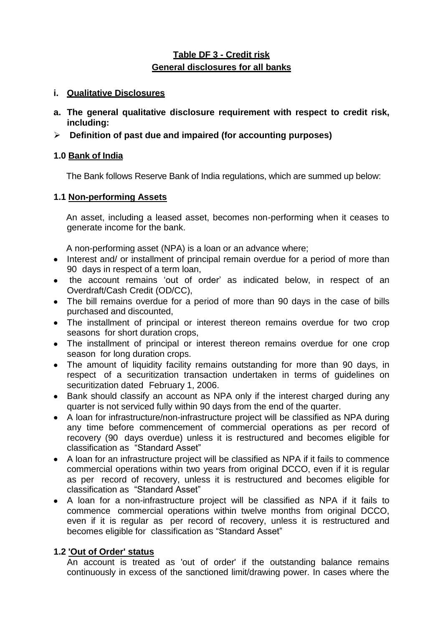# **Table DF 3 - Credit risk General disclosures for all banks**

## **i. Qualitative Disclosures**

- **a. The general qualitative disclosure requirement with respect to credit risk, including:**
- **Definition of past due and impaired (for accounting purposes)**

# **1.0 Bank of India**

The Bank follows Reserve Bank of India regulations, which are summed up below:

## **1.1 Non-performing Assets**

An asset, including a leased asset, becomes non-performing when it ceases to generate income for the bank.

A non-performing asset (NPA) is a loan or an advance where;

- Interest and/ or installment of principal remain overdue for a period of more than 90 days in respect of a term loan,
- the account remains 'out of order' as indicated below, in respect of an Overdraft/Cash Credit (OD/CC),
- The bill remains overdue for a period of more than 90 days in the case of bills purchased and discounted,
- The installment of principal or interest thereon remains overdue for two crop seasons for short duration crops,
- The installment of principal or interest thereon remains overdue for one crop season for long duration crops.
- The amount of liquidity facility remains outstanding for more than 90 days, in respect of a securitization transaction undertaken in terms of guidelines on securitization dated February 1, 2006.
- Bank should classify an account as NPA only if the interest charged during any quarter is not serviced fully within 90 days from the end of the quarter.
- A loan for infrastructure/non-infrastructure project will be classified as NPA during any time before commencement of commercial operations as per record of recovery (90 days overdue) unless it is restructured and becomes eligible for classification as "Standard Asset"
- A loan for an infrastructure project will be classified as NPA if it fails to commence commercial operations within two years from original DCCO, even if it is regular as per record of recovery, unless it is restructured and becomes eligible for classification as "Standard Asset"
- A loan for a non-infrastructure project will be classified as NPA if it fails to commence commercial operations within twelve months from original DCCO, even if it is regular as per record of recovery, unless it is restructured and becomes eligible for classification as "Standard Asset"

# **1.2 'Out of Order' status**

An account is treated as 'out of order' if the outstanding balance remains continuously in excess of the sanctioned limit/drawing power. In cases where the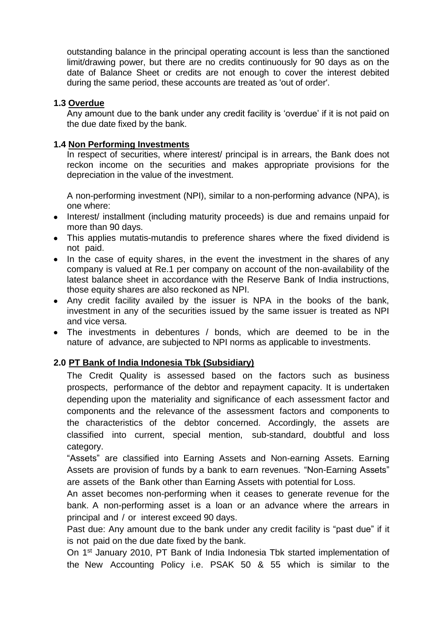outstanding balance in the principal operating account is less than the sanctioned limit/drawing power, but there are no credits continuously for 90 days as on the date of Balance Sheet or credits are not enough to cover the interest debited during the same period, these accounts are treated as 'out of order'.

#### **1.3 Overdue**

Any amount due to the bank under any credit facility is 'overdue' if it is not paid on the due date fixed by the bank.

#### **1.4 Non Performing Investments**

In respect of securities, where interest/ principal is in arrears, the Bank does not reckon income on the securities and makes appropriate provisions for the depreciation in the value of the investment.

A non-performing investment (NPI), similar to a non-performing advance (NPA), is one where:

- Interest/ installment (including maturity proceeds) is due and remains unpaid for more than 90 days.
- This applies mutatis-mutandis to preference shares where the fixed dividend is not paid.
- In the case of equity shares, in the event the investment in the shares of any company is valued at Re.1 per company on account of the non-availability of the latest balance sheet in accordance with the Reserve Bank of India instructions, those equity shares are also reckoned as NPI.
- Any credit facility availed by the issuer is NPA in the books of the bank, investment in any of the securities issued by the same issuer is treated as NPI and vice versa.
- The investments in debentures / bonds, which are deemed to be in the nature of advance, are subjected to NPI norms as applicable to investments.

#### **2.0 PT Bank of India Indonesia Tbk (Subsidiary)**

The Credit Quality is assessed based on the factors such as business prospects, performance of the debtor and repayment capacity. It is undertaken depending upon the materiality and significance of each assessment factor and components and the relevance of the assessment factors and components to the characteristics of the debtor concerned. Accordingly, the assets are classified into current, special mention, sub-standard, doubtful and loss category.

"Assets" are classified into Earning Assets and Non-earning Assets. Earning Assets are provision of funds by a bank to earn revenues. "Non-Earning Assets" are assets of the Bank other than Earning Assets with potential for Loss.

An asset becomes non-performing when it ceases to generate revenue for the bank. A non-performing asset is a loan or an advance where the arrears in principal and / or interest exceed 90 days.

Past due: Any amount due to the bank under any credit facility is "past due" if it is not paid on the due date fixed by the bank.

On 1<sup>st</sup> January 2010, PT Bank of India Indonesia Tbk started implementation of the New Accounting Policy i.e. PSAK 50 & 55 which is similar to the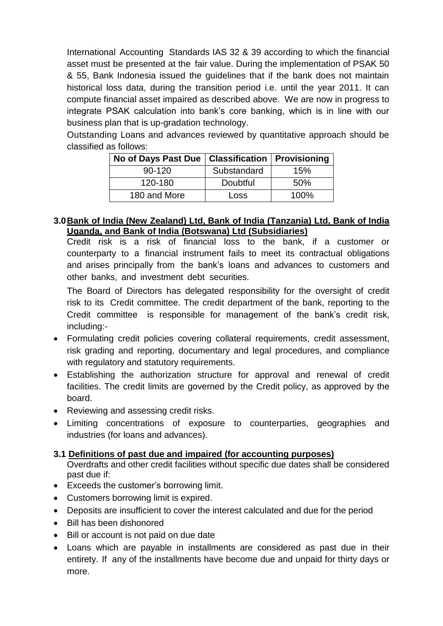International Accounting Standards IAS 32 & 39 according to which the financial asset must be presented at the fair value. During the implementation of PSAK 50 & 55, Bank Indonesia issued the guidelines that if the bank does not maintain historical loss data, during the transition period i.e. until the year 2011. It can compute financial asset impaired as described above. We are now in progress to integrate PSAK calculation into bank's core banking, which is in line with our business plan that is up-gradation technology.

Outstanding Loans and advances reviewed by quantitative approach should be classified as follows:

| No of Days Past Due   Classification   Provisioning |             |      |
|-----------------------------------------------------|-------------|------|
| $90-120$                                            | Substandard | 15%  |
| 120-180                                             | Doubtful    | 50%  |
| 180 and More                                        | Loss        | 100% |

#### **3.0Bank of India (New Zealand) Ltd, Bank of India (Tanzania) Ltd, Bank of India Uganda, and Bank of India (Botswana) Ltd (Subsidiaries)**

Credit risk is a risk of financial loss to the bank, if a customer or counterparty to a financial instrument fails to meet its contractual obligations and arises principally from the bank's loans and advances to customers and other banks, and investment debt securities.

The Board of Directors has delegated responsibility for the oversight of credit risk to its Credit committee. The credit department of the bank, reporting to the Credit committee is responsible for management of the bank's credit risk, including:-

- Formulating credit policies covering collateral requirements, credit assessment, risk grading and reporting, documentary and legal procedures, and compliance with regulatory and statutory requirements.
- Establishing the authorization structure for approval and renewal of credit facilities. The credit limits are governed by the Credit policy, as approved by the board.
- Reviewing and assessing credit risks.
- Limiting concentrations of exposure to counterparties, geographies and industries (for loans and advances).

# **3.1 Definitions of past due and impaired (for accounting purposes)**

Overdrafts and other credit facilities without specific due dates shall be considered past due if:

- Exceeds the customer's borrowing limit.
- Customers borrowing limit is expired.
- Deposits are insufficient to cover the interest calculated and due for the period
- Bill has been dishonored
- Bill or account is not paid on due date
- Loans which are payable in installments are considered as past due in their entirety. If any of the installments have become due and unpaid for thirty days or more.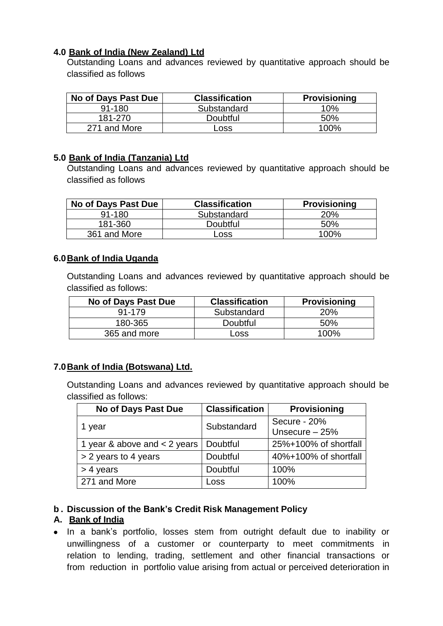# **4.0 Bank of India (New Zealand) Ltd**

Outstanding Loans and advances reviewed by quantitative approach should be classified as follows

| No of Days Past Due | <b>Classification</b> | <b>Provisioning</b> |
|---------------------|-----------------------|---------------------|
| $91 - 180$          | Substandard           | 10%                 |
| 181-270             | Doubtful              | 50%                 |
| 271 and More        | Loss                  | 100%                |

## **5.0 Bank of India (Tanzania) Ltd**

Outstanding Loans and advances reviewed by quantitative approach should be classified as follows

| No of Days Past Due | <b>Classification</b> | <b>Provisioning</b> |
|---------------------|-----------------------|---------------------|
| $91 - 180$          | Substandard           | 20%                 |
| 181-360             | Doubtful              | .50%                |
| 361 and More        | Loss                  | 100%                |

## **6.0Bank of India Uganda**

Outstanding Loans and advances reviewed by quantitative approach should be classified as follows:

| No of Days Past Due | <b>Classification</b> | <b>Provisioning</b> |
|---------------------|-----------------------|---------------------|
| 91-179              | Substandard           | 20%                 |
| 180-365             | Doubtful              | 50%                 |
| 365 and more        | Loss                  | $100\%$             |

# **7.0Bank of India (Botswana) Ltd.**

Outstanding Loans and advances reviewed by quantitative approach should be classified as follows:

| No of Days Past Due            | <b>Classification</b> | <b>Provisioning</b>             |
|--------------------------------|-----------------------|---------------------------------|
| 1 year                         | Substandard           | Secure - 20%<br>Unsecure $-25%$ |
| 1 year & above and $<$ 2 years | Doubtful              | 25%+100% of shortfall           |
| > 2 years to 4 years           | Doubtful              | 40%+100% of shortfall           |
| $> 4$ years                    | Doubtful              | 100%                            |
| 271 and More                   | Loss                  | 100%                            |

# **b . Discussion of the Bank's Credit Risk Management Policy**

# **A. Bank of India**

• In a bank's portfolio, losses stem from outright default due to inability or unwillingness of a customer or counterparty to meet commitments in relation to lending, trading, settlement and other financial transactions or from reduction in portfolio value arising from actual or perceived deterioration in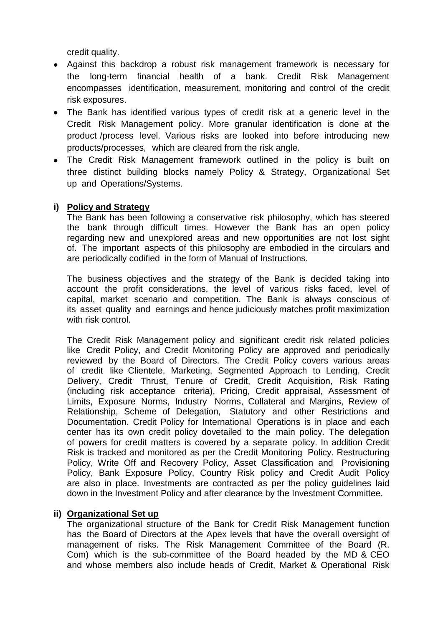credit quality.

- Against this backdrop a robust risk management framework is necessary for the long-term financial health of a bank. Credit Risk Management encompasses identification, measurement, monitoring and control of the credit risk exposures.
- The Bank has identified various types of credit risk at a generic level in the Credit Risk Management policy. More granular identification is done at the product /process level. Various risks are looked into before introducing new products/processes, which are cleared from the risk angle.
- The Credit Risk Management framework outlined in the policy is built on three distinct building blocks namely Policy & Strategy, Organizational Set up and Operations/Systems.

## **i) Policy and Strategy**

The Bank has been following a conservative risk philosophy, which has steered the bank through difficult times. However the Bank has an open policy regarding new and unexplored areas and new opportunities are not lost sight of. The important aspects of this philosophy are embodied in the circulars and are periodically codified in the form of Manual of Instructions.

The business objectives and the strategy of the Bank is decided taking into account the profit considerations, the level of various risks faced, level of capital, market scenario and competition. The Bank is always conscious of its asset quality and earnings and hence judiciously matches profit maximization with risk control.

The Credit Risk Management policy and significant credit risk related policies like Credit Policy, and Credit Monitoring Policy are approved and periodically reviewed by the Board of Directors. The Credit Policy covers various areas of credit like Clientele, Marketing, Segmented Approach to Lending, Credit Delivery, Credit Thrust, Tenure of Credit, Credit Acquisition, Risk Rating (including risk acceptance criteria), Pricing, Credit appraisal, Assessment of Limits, Exposure Norms, Industry Norms, Collateral and Margins, Review of Relationship, Scheme of Delegation, Statutory and other Restrictions and Documentation. Credit Policy for International Operations is in place and each center has its own credit policy dovetailed to the main policy. The delegation of powers for credit matters is covered by a separate policy. In addition Credit Risk is tracked and monitored as per the Credit Monitoring Policy. Restructuring Policy, Write Off and Recovery Policy, Asset Classification and Provisioning Policy, Bank Exposure Policy, Country Risk policy and Credit Audit Policy are also in place. Investments are contracted as per the policy guidelines laid down in the Investment Policy and after clearance by the Investment Committee.

#### **ii) Organizational Set up**

The organizational structure of the Bank for Credit Risk Management function has the Board of Directors at the Apex levels that have the overall oversight of management of risks. The Risk Management Committee of the Board (R. Com) which is the sub-committee of the Board headed by the MD & CEO and whose members also include heads of Credit, Market & Operational Risk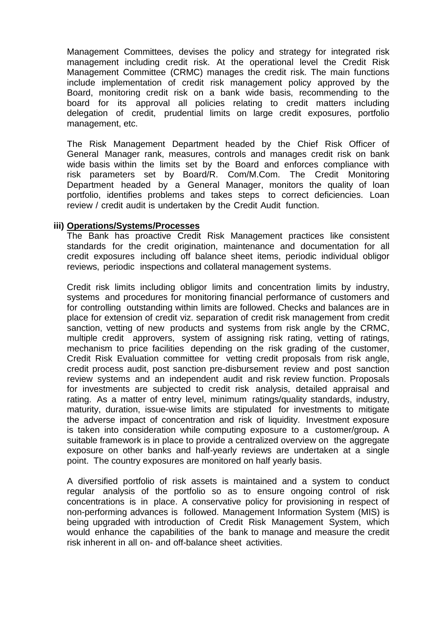Management Committees, devises the policy and strategy for integrated risk management including credit risk. At the operational level the Credit Risk Management Committee (CRMC) manages the credit risk. The main functions include implementation of credit risk management policy approved by the Board, monitoring credit risk on a bank wide basis, recommending to the board for its approval all policies relating to credit matters including delegation of credit, prudential limits on large credit exposures, portfolio management, etc.

The Risk Management Department headed by the Chief Risk Officer of General Manager rank, measures, controls and manages credit risk on bank wide basis within the limits set by the Board and enforces compliance with risk parameters set by Board/R. Com/M.Com. The Credit Monitoring Department headed by a General Manager, monitors the quality of loan portfolio, identifies problems and takes steps to correct deficiencies. Loan review / credit audit is undertaken by the Credit Audit function.

#### **iii) Operations/Systems/Processes**

The Bank has proactive Credit Risk Management practices like consistent standards for the credit origination, maintenance and documentation for all credit exposures including off balance sheet items, periodic individual obligor reviews, periodic inspections and collateral management systems.

Credit risk limits including obligor limits and concentration limits by industry, systems and procedures for monitoring financial performance of customers and for controlling outstanding within limits are followed. Checks and balances are in place for extension of credit viz. separation of credit risk management from credit sanction, vetting of new products and systems from risk angle by the CRMC, multiple credit approvers, system of assigning risk rating, vetting of ratings, mechanism to price facilities depending on the risk grading of the customer, Credit Risk Evaluation committee for vetting credit proposals from risk angle, credit process audit, post sanction pre-disbursement review and post sanction review systems and an independent audit and risk review function. Proposals for investments are subjected to credit risk analysis, detailed appraisal and rating. As a matter of entry level, minimum ratings/quality standards, industry, maturity, duration, issue-wise limits are stipulated for investments to mitigate the adverse impact of concentration and risk of liquidity. Investment exposure is taken into consideration while computing exposure to a customer/group**.** A suitable framework is in place to provide a centralized overview on the aggregate exposure on other banks and half-yearly reviews are undertaken at a single point. The country exposures are monitored on half yearly basis.

A diversified portfolio of risk assets is maintained and a system to conduct regular analysis of the portfolio so as to ensure ongoing control of risk concentrations is in place. A conservative policy for provisioning in respect of non-performing advances is followed. Management Information System (MIS) is being upgraded with introduction of Credit Risk Management System, which would enhance the capabilities of the bank to manage and measure the credit risk inherent in all on- and off-balance sheet activities.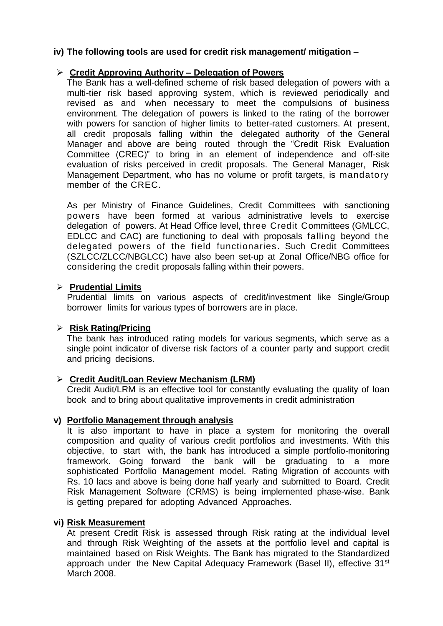## **iv) The following tools are used for credit risk management/ mitigation –**

#### **Credit Approving Authority – Delegation of Powers**

The Bank has a well-defined scheme of risk based delegation of powers with a multi-tier risk based approving system, which is reviewed periodically and revised as and when necessary to meet the compulsions of business environment. The delegation of powers is linked to the rating of the borrower with powers for sanction of higher limits to better-rated customers. At present, all credit proposals falling within the delegated authority of the General Manager and above are being routed through the "Credit Risk Evaluation Committee (CREC)" to bring in an element of independence and off-site evaluation of risks perceived in credit proposals. The General Manager, Risk Management Department, who has no volume or profit targets, is mandatory member of the CREC.

As per Ministry of Finance Guidelines, Credit Committees with sanctioning powers have been formed at various administrative levels to exercise delegation of powers. At Head Office level, three Credit Committees (GMLCC, EDLCC and CAC) are functioning to deal with proposals falling beyond the delegated powers of the field functionaries. Such Credit Committees (SZLCC/ZLCC/NBGLCC) have also been set-up at Zonal Office/NBG office for considering the credit proposals falling within their powers.

#### **Prudential Limits**

Prudential limits on various aspects of credit/investment like Single/Group borrower limits for various types of borrowers are in place.

#### **Risk Rating/Pricing**

The bank has introduced rating models for various segments, which serve as a single point indicator of diverse risk factors of a counter party and support credit and pricing decisions.

#### **Credit Audit/Loan Review Mechanism (LRM)**

Credit Audit/LRM is an effective tool for constantly evaluating the quality of loan book and to bring about qualitative improvements in credit administration

#### **v) Portfolio Management through analysis**

It is also important to have in place a system for monitoring the overall composition and quality of various credit portfolios and investments. With this objective, to start with, the bank has introduced a simple portfolio-monitoring framework. Going forward the bank will be graduating to a more sophisticated Portfolio Management model. Rating Migration of accounts with Rs. 10 lacs and above is being done half yearly and submitted to Board. Credit Risk Management Software (CRMS) is being implemented phase-wise. Bank is getting prepared for adopting Advanced Approaches.

#### **vi) Risk Measurement**

At present Credit Risk is assessed through Risk rating at the individual level and through Risk Weighting of the assets at the portfolio level and capital is maintained based on Risk Weights. The Bank has migrated to the Standardized approach under the New Capital Adequacy Framework (Basel II), effective 31<sup>st</sup> March 2008.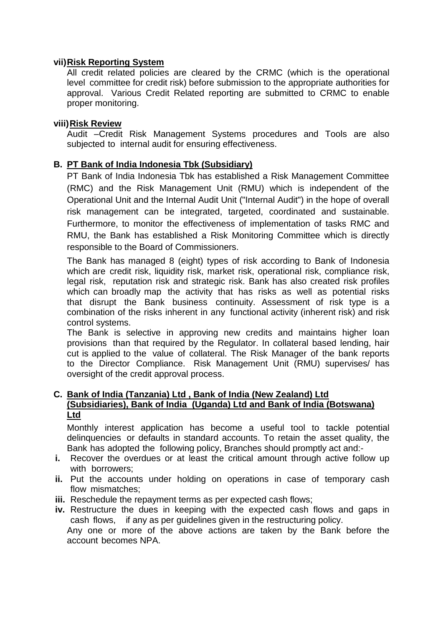#### **vii)Risk Reporting System**

All credit related policies are cleared by the CRMC (which is the operational level committee for credit risk) before submission to the appropriate authorities for approval. Various Credit Related reporting are submitted to CRMC to enable proper monitoring.

#### **viii)Risk Review**

Audit –Credit Risk Management Systems procedures and Tools are also subjected to internal audit for ensuring effectiveness.

#### **B. PT Bank of India Indonesia Tbk (Subsidiary)**

PT Bank of India Indonesia Tbk has established a Risk Management Committee (RMC) and the Risk Management Unit (RMU) which is independent of the Operational Unit and the Internal Audit Unit ("Internal Audit") in the hope of overall risk management can be integrated, targeted, coordinated and sustainable. Furthermore, to monitor the effectiveness of implementation of tasks RMC and RMU, the Bank has established a Risk Monitoring Committee which is directly responsible to the Board of Commissioners.

The Bank has managed 8 (eight) types of risk according to Bank of Indonesia which are credit risk, liquidity risk, market risk, operational risk, compliance risk, legal risk, reputation risk and strategic risk. Bank has also created risk profiles which can broadly map the activity that has risks as well as potential risks that disrupt the Bank business continuity. Assessment of risk type is a combination of the risks inherent in any functional activity (inherent risk) and risk control systems.

The Bank is selective in approving new credits and maintains higher loan provisions than that required by the Regulator. In collateral based lending, hair cut is applied to the value of collateral. The Risk Manager of the bank reports to the Director Compliance. Risk Management Unit (RMU) supervises/ has oversight of the credit approval process.

#### **C. Bank of India (Tanzania) Ltd , Bank of India (New Zealand) Ltd (Subsidiaries), Bank of India (Uganda) Ltd and Bank of India (Botswana) Ltd**

Monthly interest application has become a useful tool to tackle potential delinquencies or defaults in standard accounts. To retain the asset quality, the Bank has adopted the following policy, Branches should promptly act and:-

- **i.** Recover the overdues or at least the critical amount through active follow up with borrowers;
- **ii.** Put the accounts under holding on operations in case of temporary cash flow mismatches;
- **iii.** Reschedule the repayment terms as per expected cash flows;
- **iv.** Restructure the dues in keeping with the expected cash flows and gaps in cash flows, if any as per guidelines given in the restructuring policy.

Any one or more of the above actions are taken by the Bank before the account becomes NPA.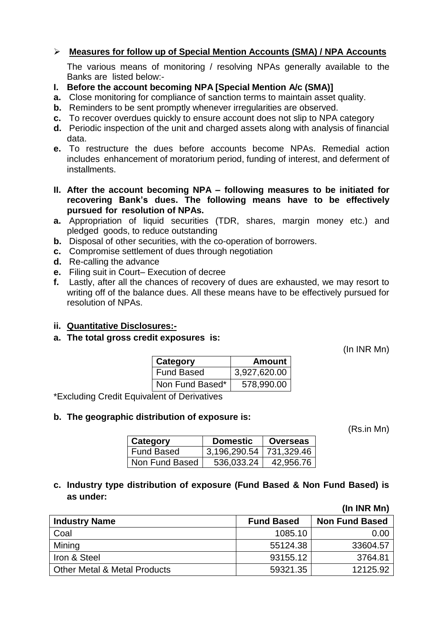# **Measures for follow up of Special Mention Accounts (SMA) / NPA Accounts**

The various means of monitoring / resolving NPAs generally available to the Banks are listed below:-

- **I. Before the account becoming NPA [Special Mention A/c (SMA)]**
- **a.** Close monitoring for compliance of sanction terms to maintain asset quality.
- **b.** Reminders to be sent promptly whenever irregularities are observed.
- **c.** To recover overdues quickly to ensure account does not slip to NPA category
- **d.** Periodic inspection of the unit and charged assets along with analysis of financial data.
- **e.** To restructure the dues before accounts become NPAs. Remedial action includes enhancement of moratorium period, funding of interest, and deferment of installments.
- **II. After the account becoming NPA – following measures to be initiated for recovering Bank's dues. The following means have to be effectively pursued for resolution of NPAs.**
- **a.** Appropriation of liquid securities (TDR, shares, margin money etc.) and pledged goods, to reduce outstanding
- **b.** Disposal of other securities, with the co-operation of borrowers.
- **c.** Compromise settlement of dues through negotiation
- **d.** Re-calling the advance
- **e.** Filing suit in Court– Execution of decree
- **f.** Lastly, after all the chances of recovery of dues are exhausted, we may resort to writing off of the balance dues. All these means have to be effectively pursued for resolution of NPAs.
- **ii. Quantitative Disclosures:-**
- **a. The total gross credit exposures is:**

(In INR Mn)

| Category          | Amount       |
|-------------------|--------------|
| <b>Fund Based</b> | 3,927,620.00 |
| Non Fund Based*   | 578,990.00   |

\*Excluding Credit Equivalent of Derivatives

#### **b. The geographic distribution of exposure is:**

(Rs.in Mn)

| Category          | <b>Domestic</b>           | ∣ Overseas |
|-------------------|---------------------------|------------|
| <b>Fund Based</b> | 3,196,290.54   731,329.46 |            |
| Non Fund Based    | 536,033.24                | 42,956.76  |

**c. Industry type distribution of exposure (Fund Based & Non Fund Based) is as under:**

# **(In INR Mn) Industry Name Fund Based Non Fund Based** Coal 1085.10 0.00 Mining 55124.38 33604.57 Iron & Steel 93155.12 3764.81 Other Metal & Metal Products 59321.35 12125.92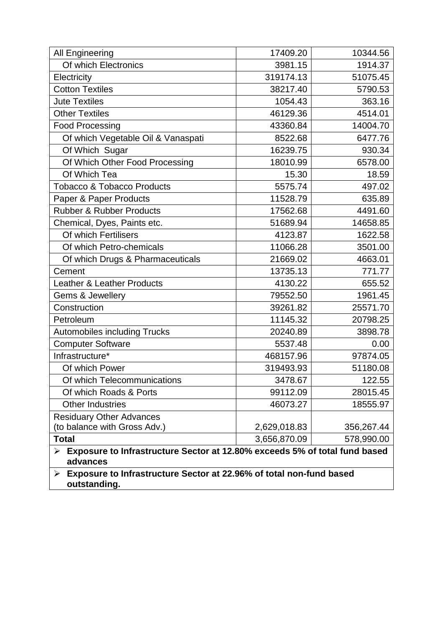| <b>All Engineering</b>                                                                                          | 17409.20     | 10344.56   |
|-----------------------------------------------------------------------------------------------------------------|--------------|------------|
| Of which Electronics                                                                                            | 3981.15      | 1914.37    |
| Electricity                                                                                                     | 319174.13    | 51075.45   |
| <b>Cotton Textiles</b>                                                                                          | 38217.40     | 5790.53    |
| <b>Jute Textiles</b>                                                                                            | 1054.43      | 363.16     |
| <b>Other Textiles</b>                                                                                           | 46129.36     | 4514.01    |
| <b>Food Processing</b>                                                                                          | 43360.84     | 14004.70   |
| Of which Vegetable Oil & Vanaspati                                                                              | 8522.68      | 6477.76    |
| Of Which Sugar                                                                                                  | 16239.75     | 930.34     |
| Of Which Other Food Processing                                                                                  | 18010.99     | 6578.00    |
| Of Which Tea                                                                                                    | 15.30        | 18.59      |
| <b>Tobacco &amp; Tobacco Products</b>                                                                           | 5575.74      | 497.02     |
| Paper & Paper Products                                                                                          | 11528.79     | 635.89     |
| <b>Rubber &amp; Rubber Products</b>                                                                             | 17562.68     | 4491.60    |
| Chemical, Dyes, Paints etc.                                                                                     | 51689.94     | 14658.85   |
| Of which Fertilisers                                                                                            | 4123.87      | 1622.58    |
| Of which Petro-chemicals                                                                                        | 11066.28     | 3501.00    |
| Of which Drugs & Pharmaceuticals                                                                                | 21669.02     | 4663.01    |
| Cement                                                                                                          | 13735.13     | 771.77     |
| <b>Leather &amp; Leather Products</b>                                                                           | 4130.22      | 655.52     |
| Gems & Jewellery                                                                                                | 79552.50     | 1961.45    |
| Construction                                                                                                    | 39261.82     | 25571.70   |
| Petroleum                                                                                                       | 11145.32     | 20798.25   |
| <b>Automobiles including Trucks</b>                                                                             | 20240.89     | 3898.78    |
| <b>Computer Software</b>                                                                                        | 5537.48      | 0.00       |
| Infrastructure*                                                                                                 | 468157.96    | 97874.05   |
| Of which Power                                                                                                  | 319493.93    | 51180.08   |
| Of which Telecommunications                                                                                     | 3478.67      | 122.55     |
| Of which Roads & Ports                                                                                          | 99112.09     | 28015.45   |
| <b>Other Industries</b>                                                                                         | 46073.27     | 18555.97   |
| <b>Residuary Other Advances</b>                                                                                 |              |            |
| (to balance with Gross Adv.)                                                                                    | 2,629,018.83 | 356,267.44 |
| <b>Total</b>                                                                                                    | 3,656,870.09 | 578,990.00 |
| Exposure to Infrastructure Sector at 12.80% exceeds 5% of total fund based<br>$\blacktriangleright$<br>advances |              |            |
| Exposure to Infrastructure Sector at 22.96% of total non-fund based<br>≻<br>outstanding.                        |              |            |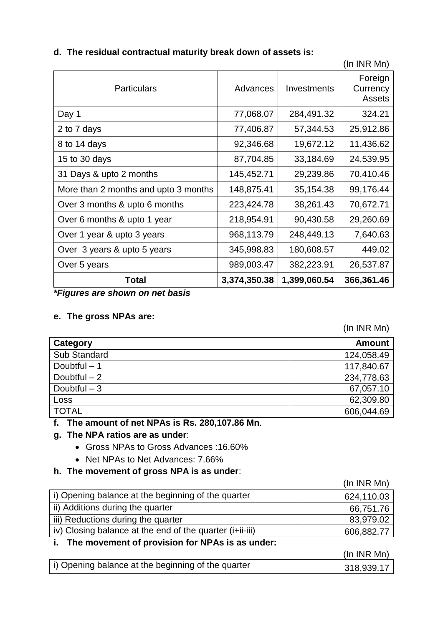|                                      |              |              | , , , , , , , , , , , , , , , , |
|--------------------------------------|--------------|--------------|---------------------------------|
| <b>Particulars</b>                   | Advances     | Investments  | Foreign<br>Currency<br>Assets   |
| Day 1                                | 77,068.07    | 284,491.32   | 324.21                          |
| 2 to 7 days                          | 77,406.87    | 57,344.53    | 25,912.86                       |
| 8 to 14 days                         | 92,346.68    | 19,672.12    | 11,436.62                       |
| 15 to 30 days                        | 87,704.85    | 33,184.69    | 24,539.95                       |
| 31 Days & upto 2 months              | 145,452.71   | 29,239.86    | 70,410.46                       |
| More than 2 months and upto 3 months | 148,875.41   | 35,154.38    | 99,176.44                       |
| Over 3 months & upto 6 months        | 223,424.78   | 38,261.43    | 70,672.71                       |
| Over 6 months & upto 1 year          | 218,954.91   | 90,430.58    | 29,260.69                       |
| Over 1 year & upto 3 years           | 968,113.79   | 248,449.13   | 7,640.63                        |
| Over 3 years & upto 5 years          | 345,998.83   | 180,608.57   | 449.02                          |
| Over 5 years                         | 989,003.47   | 382,223.91   | 26,537.87                       |
| Total                                | 3,374,350.38 | 1,399,060.54 | 366,361.46                      |

**d. The residual contractual maturity break down of assets is:**

*\*Figures are shown on net basis*

#### **e. The gross NPAs are:**

(In INR Mn)

 $(\ln \text{IND} \text{MA})$ 

(In INR Mn)

| Category      | <b>Amount</b> |
|---------------|---------------|
| Sub Standard  | 124,058.49    |
| Doubtful $-1$ | 117,840.67    |
| Doubtful $-2$ | 234,778.63    |
| Doubtful $-3$ | 67,057.10     |
| Loss          | 62,309.80     |
| <b>TOTAL</b>  | 606,044.69    |

# **f. The amount of net NPAs is Rs. 280,107.86 Mn**.

# **g. The NPA ratios are as under**:

- Gross NPAs to Gross Advances :16.60%
- Net NPAs to Net Advances: 7.66%

# **h. The movement of gross NPA is as under**:

|                                                                   | $(ln$ INR Mn $)$ |
|-------------------------------------------------------------------|------------------|
| i) Opening balance at the beginning of the quarter                | 624,110.03       |
| ii) Additions during the quarter                                  | 66,751.76        |
| iii) Reductions during the quarter                                | 83,979.02        |
| iv) Closing balance at the end of the quarter $(i+iii)$           | 606,882.77       |
| $\mathbf{F}$ . The measurement of nucleight fan NDAs is an under- |                  |

#### **i. The movement of provision for NPAs is as under:**

|                                                    | <b>THERE'S BUILD</b> |
|----------------------------------------------------|----------------------|
| i) Opening balance at the beginning of the quarter | 318,939.17           |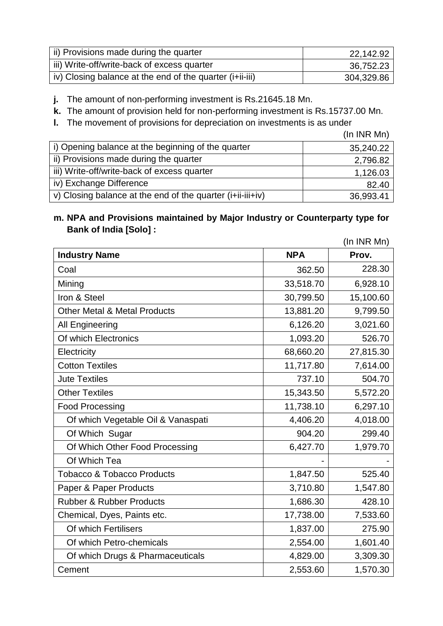| ii) Provisions made during the quarter                   | 22,142.92  |
|----------------------------------------------------------|------------|
| iii) Write-off/write-back of excess quarter              | 36,752.23  |
| iv) Closing balance at the end of the quarter (i+ii-iii) | 304,329.86 |

**j.** The amount of non-performing investment is Rs.21645.18 Mn.

**k.** The amount of provision held for non-performing investment is Rs.15737.00 Mn.

**l.** The movement of provisions for depreciation on investments is as under

(In INR Mn)

| i) Opening balance at the beginning of the quarter         | 35,240.22 |
|------------------------------------------------------------|-----------|
| ii) Provisions made during the quarter                     | 2,796.82  |
| iii) Write-off/write-back of excess quarter                | 1,126.03  |
| iv) Exchange Difference                                    | 82.40     |
| v) Closing balance at the end of the quarter (i+ii-iii+iv) | 36,993.41 |

# **m. NPA and Provisions maintained by Major Industry or Counterparty type for Bank of India [Solo] :**

|                                         |            | (In INR Mn) |
|-----------------------------------------|------------|-------------|
| <b>Industry Name</b>                    | <b>NPA</b> | Prov.       |
| Coal                                    | 362.50     | 228.30      |
| Mining                                  | 33,518.70  | 6,928.10    |
| Iron & Steel                            | 30,799.50  | 15,100.60   |
| <b>Other Metal &amp; Metal Products</b> | 13,881.20  | 9,799.50    |
| <b>All Engineering</b>                  | 6,126.20   | 3,021.60    |
| Of which Electronics                    | 1,093.20   | 526.70      |
| Electricity                             | 68,660.20  | 27,815.30   |
| <b>Cotton Textiles</b>                  | 11,717.80  | 7,614.00    |
| <b>Jute Textiles</b>                    | 737.10     | 504.70      |
| <b>Other Textiles</b>                   | 15,343.50  | 5,572.20    |
| <b>Food Processing</b>                  | 11,738.10  | 6,297.10    |
| Of which Vegetable Oil & Vanaspati      | 4,406.20   | 4,018.00    |
| Of Which Sugar                          | 904.20     | 299.40      |
| Of Which Other Food Processing          | 6,427.70   | 1,979.70    |
| Of Which Tea                            |            |             |
| <b>Tobacco &amp; Tobacco Products</b>   | 1,847.50   | 525.40      |
| Paper & Paper Products                  | 3,710.80   | 1,547.80    |
| <b>Rubber &amp; Rubber Products</b>     | 1,686.30   | 428.10      |
| Chemical, Dyes, Paints etc.             | 17,738.00  | 7,533.60    |
| Of which Fertilisers                    | 1,837.00   | 275.90      |
| Of which Petro-chemicals                | 2,554.00   | 1,601.40    |
| Of which Drugs & Pharmaceuticals        | 4,829.00   | 3,309.30    |
| Cement                                  | 2,553.60   | 1,570.30    |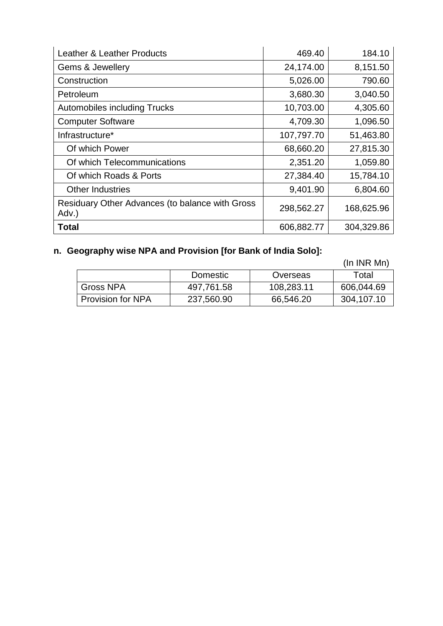| Leather & Leather Products                               | 469.40     | 184.10     |
|----------------------------------------------------------|------------|------------|
| Gems & Jewellery                                         | 24,174.00  | 8,151.50   |
| Construction                                             | 5,026.00   | 790.60     |
| Petroleum                                                | 3,680.30   | 3,040.50   |
| <b>Automobiles including Trucks</b>                      | 10,703.00  | 4,305.60   |
| <b>Computer Software</b>                                 | 4,709.30   | 1,096.50   |
| Infrastructure*                                          | 107,797.70 | 51,463.80  |
| Of which Power                                           | 68,660.20  | 27,815.30  |
| Of which Telecommunications                              | 2,351.20   | 1,059.80   |
| Of which Roads & Ports                                   | 27,384.40  | 15,784.10  |
| <b>Other Industries</b>                                  | 9,401.90   | 6,804.60   |
| Residuary Other Advances (to balance with Gross<br>Adv.) | 298,562.27 | 168,625.96 |
| <b>Total</b>                                             | 606,882.77 | 304,329.86 |

# **n. Geography wise NPA and Provision [for Bank of India Solo]:**

(In INR Mn)

|                          |            |            | .          |
|--------------------------|------------|------------|------------|
|                          | Domestic   | Overseas   | Total      |
| <b>Gross NPA</b>         | 497,761.58 | 108,283.11 | 606,044.69 |
| <b>Provision for NPA</b> | 237,560.90 | 66,546.20  | 304,107.10 |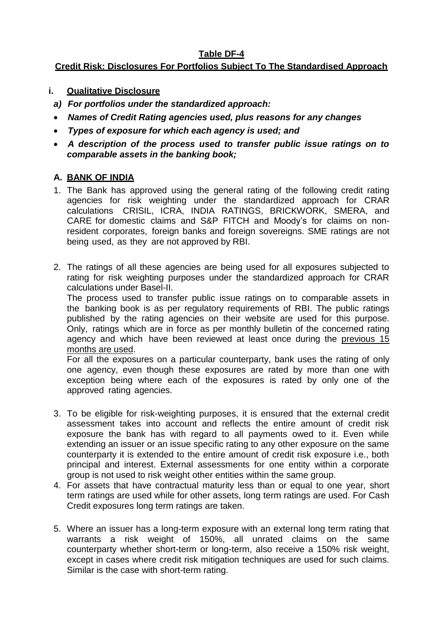# **Table DF-4**

# **Credit Risk: Disclosures For Portfolios Subject To The Standardised Approach**

- **i. Qualitative Disclosure**
- *a) For portfolios under the standardized approach:*
- *Names of Credit Rating agencies used, plus reasons for any changes*
- *Types of exposure for which each agency is used; and*
- *A description of the process used to transfer public issue ratings on to comparable assets in the banking book;*

# **A. BANK OF INDIA**

- 1. The Bank has approved using the general rating of the following credit rating agencies for risk weighting under the standardized approach for CRAR calculations CRISIL, ICRA, INDIA RATINGS, BRICKWORK, SMERA, and CARE for domestic claims and S&P FITCH and Moody's for claims on nonresident corporates, foreign banks and foreign sovereigns. SME ratings are not being used, as they are not approved by RBI.
- 2. The ratings of all these agencies are being used for all exposures subjected to rating for risk weighting purposes under the standardized approach for CRAR calculations under Basel-II.

The process used to transfer public issue ratings on to comparable assets in the banking book is as per regulatory requirements of RBI. The public ratings published by the rating agencies on their website are used for this purpose. Only, ratings which are in force as per monthly bulletin of the concerned rating agency and which have been reviewed at least once during the previous 15 months are used.

For all the exposures on a particular counterparty, bank uses the rating of only one agency, even though these exposures are rated by more than one with exception being where each of the exposures is rated by only one of the approved rating agencies.

- 3. To be eligible for risk-weighting purposes, it is ensured that the external credit assessment takes into account and reflects the entire amount of credit risk exposure the bank has with regard to all payments owed to it. Even while extending an issuer or an issue specific rating to any other exposure on the same counterparty it is extended to the entire amount of credit risk exposure i.e., both principal and interest. External assessments for one entity within a corporate group is not used to risk weight other entities within the same group.
- 4. For assets that have contractual maturity less than or equal to one year, short term ratings are used while for other assets, long term ratings are used. For Cash Credit exposures long term ratings are taken.
- 5. Where an issuer has a long-term exposure with an external long term rating that warrants a risk weight of 150%, all unrated claims on the same counterparty whether short-term or long-term, also receive a 150% risk weight, except in cases where credit risk mitigation techniques are used for such claims. Similar is the case with short-term rating.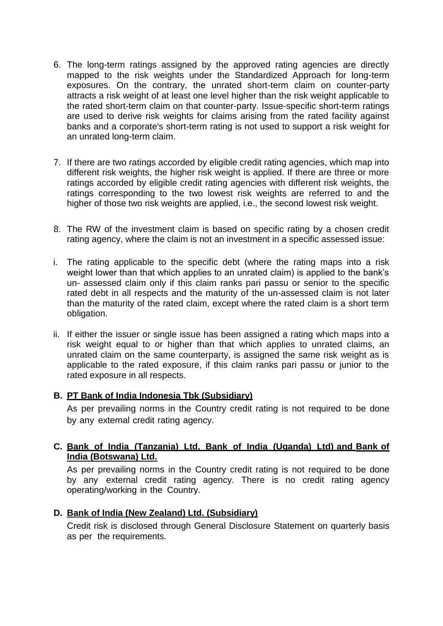- 6. The long-term ratings assigned by the approved rating agencies are directly mapped to the risk weights under the Standardized Approach for long-term exposures. On the contrary, the unrated short-term claim on counter-party attracts a risk weight of at least one level higher than the risk weight applicable to the rated short-term claim on that counter-party. Issue-specific short-term ratings are used to derive risk weights for claims arising from the rated facility against banks and a corporate's short-term rating is not used to support a risk weight for an unrated long-term claim.
- 7. If there are two ratings accorded by eligible credit rating agencies, which map into different risk weights, the higher risk weight is applied. If there are three or more ratings accorded by eligible credit rating agencies with different risk weights, the ratings corresponding to the two lowest risk weights are referred to and the higher of those two risk weights are applied, i.e., the second lowest risk weight.
- 8. The RW of the investment claim is based on specific rating by a chosen credit rating agency, where the claim is not an investment in a specific assessed issue:
- i. The rating applicable to the specific debt (where the rating maps into a risk weight lower than that which applies to an unrated claim) is applied to the bank's un- assessed claim only if this claim ranks pari passu or senior to the specific rated debt in all respects and the maturity of the un-assessed claim is not later than the maturity of the rated claim, except where the rated claim is a short term obligation.
- ii. If either the issuer or single issue has been assigned a rating which maps into a risk weight equal to or higher than that which applies to unrated claims, an unrated claim on the same counterparty, is assigned the same risk weight as is applicable to the rated exposure, if this claim ranks pari passu or junior to the rated exposure in all respects.

#### **B. PT Bank of India Indonesia Tbk (Subsidiary)**

As per prevailing norms in the Country credit rating is not required to be done by any external credit rating agency.

## **C. Bank of India (Tanzania) Ltd, Bank of India (Uganda) Ltd) and Bank of India (Botswana) Ltd.**

As per prevailing norms in the Country credit rating is not required to be done by any external credit rating agency. There is no credit rating agency operating/working in the Country.

#### **D. Bank of India (New Zealand) Ltd. (Subsidiary)**

Credit risk is disclosed through General Disclosure Statement on quarterly basis as per the requirements.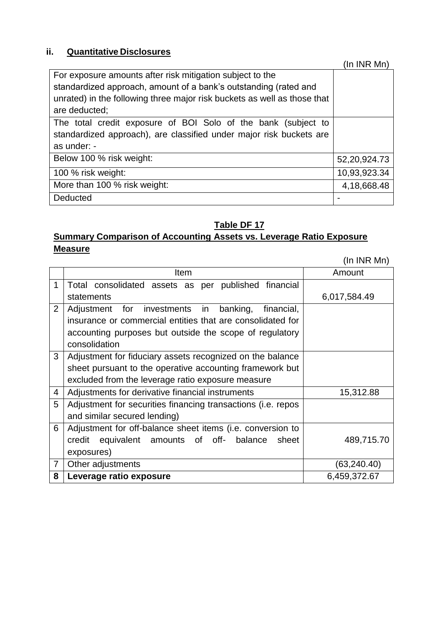# **ii. Quantitative Disclosures**

|                                                                          | (In INR Mn)  |
|--------------------------------------------------------------------------|--------------|
| For exposure amounts after risk mitigation subject to the                |              |
| standardized approach, amount of a bank's outstanding (rated and         |              |
| unrated) in the following three major risk buckets as well as those that |              |
| are deducted;                                                            |              |
| The total credit exposure of BOI Solo of the bank (subject to            |              |
| standardized approach), are classified under major risk buckets are      |              |
| as under: -                                                              |              |
| Below 100 % risk weight:                                                 | 52,20,924.73 |
| 100 % risk weight:                                                       | 10,93,923.34 |
| More than 100 % risk weight:                                             | 4,18,668.48  |
| Deducted                                                                 |              |

# **Table DF 17**

# **Summary Comparison of Accounting Assets vs. Leverage Ratio Exposure Measure**

(In INR Mn)

|                | Item                                                         | Amount       |
|----------------|--------------------------------------------------------------|--------------|
| 1              | Total consolidated assets as per published financial         |              |
|                | statements                                                   | 6,017,584.49 |
| $\overline{2}$ | Adjustment for investments in<br>banking,<br>financial,      |              |
|                | insurance or commercial entities that are consolidated for   |              |
|                | accounting purposes but outside the scope of regulatory      |              |
|                | consolidation                                                |              |
| 3              | Adjustment for fiduciary assets recognized on the balance    |              |
|                | sheet pursuant to the operative accounting framework but     |              |
|                | excluded from the leverage ratio exposure measure            |              |
| 4              | Adjustments for derivative financial instruments             | 15,312.88    |
| 5              | Adjustment for securities financing transactions (i.e. repos |              |
|                | and similar secured lending)                                 |              |
| 6              | Adjustment for off-balance sheet items (i.e. conversion to   |              |
|                | equivalent amounts of off- balance<br>sheet<br>credit        | 489,715.70   |
|                | exposures)                                                   |              |
| $\overline{7}$ | Other adjustments                                            | (63,240.40)  |
| 8              | Leverage ratio exposure                                      | 6,459,372.67 |